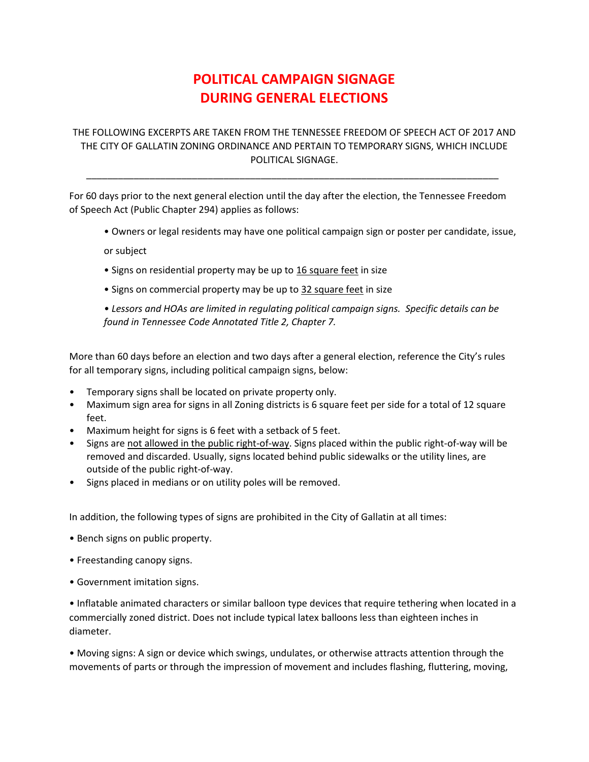## **POLITICAL CAMPAIGN SIGNAGE DURING GENERAL ELECTIONS**

## THE FOLLOWING EXCERPTS ARE TAKEN FROM THE TENNESSEE FREEDOM OF SPEECH ACT OF 2017 AND THE CITY OF GALLATIN ZONING ORDINANCE AND PERTAIN TO TEMPORARY SIGNS, WHICH INCLUDE POLITICAL SIGNAGE.

\_\_\_\_\_\_\_\_\_\_\_\_\_\_\_\_\_\_\_\_\_\_\_\_\_\_\_\_\_\_\_\_\_\_\_\_\_\_\_\_\_\_\_\_\_\_\_\_\_\_\_\_\_\_\_\_\_\_\_\_\_\_\_\_\_\_\_\_\_\_\_\_\_\_\_\_\_\_

For 60 days prior to the next general election until the day after the election, the Tennessee Freedom of Speech Act (Public Chapter 294) applies as follows:

• Owners or legal residents may have one political campaign sign or poster per candidate, issue,

or subject

- Signs on residential property may be up to 16 square feet in size
- Signs on commercial property may be up to 32 square feet in size

*• Lessors and HOAs are limited in regulating political campaign signs. Specific details can be found in Tennessee Code Annotated Title 2, Chapter 7.*

More than 60 days before an election and two days after a general election, reference the City's rules for all temporary signs, including political campaign signs, below:

- Temporary signs shall be located on private property only.
- Maximum sign area for signs in all Zoning districts is 6 square feet per side for a total of 12 square feet.
- Maximum height for signs is 6 feet with a setback of 5 feet.
- Signs are not allowed in the public right-of-way. Signs placed within the public right-of-way will be removed and discarded. Usually, signs located behind public sidewalks or the utility lines, are outside of the public right-of-way.
- Signs placed in medians or on utility poles will be removed.

In addition, the following types of signs are prohibited in the City of Gallatin at all times:

- Bench signs on public property.
- Freestanding canopy signs.
- Government imitation signs.

• Inflatable animated characters or similar balloon type devices that require tethering when located in a commercially zoned district. Does not include typical latex balloons less than eighteen inches in diameter.

• Moving signs: A sign or device which swings, undulates, or otherwise attracts attention through the movements of parts or through the impression of movement and includes flashing, fluttering, moving,